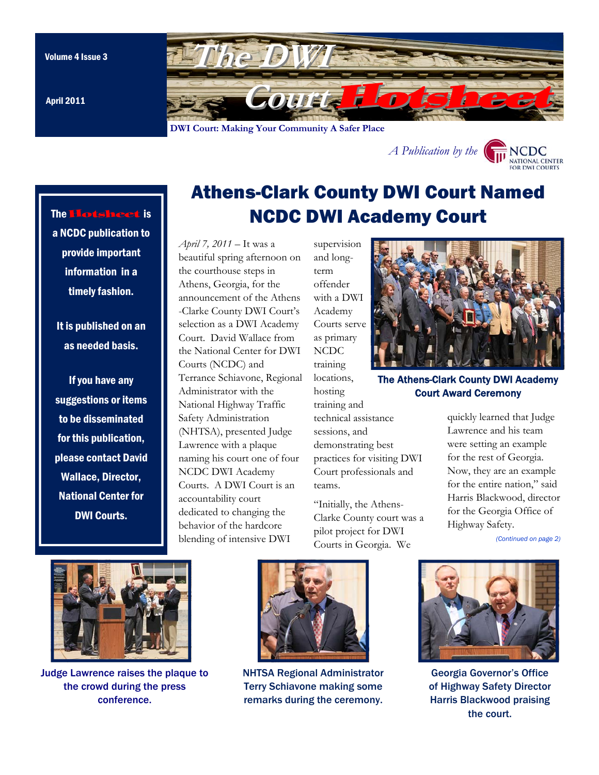The Hotsheet is

a NCDC publication to provide important information in a

timely fashion.

It is published on an as needed basis.

If you have any suggestions or items to be disseminated

for this publication, please contact David Wallace, Director, National Center for

DWI Courts.

<span id="page-0-0"></span>

April 2011

# Athens-Clark County DWI Court Named NCDC DWI Academy Court

*April 7, 2011* – It was a beautiful spring afternoon on the courthouse steps in Athens, Georgia, for the announcement of the Athens -Clarke County DWI Court's selection as a DWI Academy Court. David Wallace from the National Center for DWI Courts (NCDC) and Terrance Schiavone, Regional Administrator with the National Highway Traffic Safety Administration (NHTSA), presented Judge Lawrence with a plaque naming his court one of four NCDC DWI Academy Courts. A DWI Court is an accountability court dedicated to changing the behavior of the hardcore blending of intensive DWI

and longterm offender with a DWI Academy Courts serve as primary NCDC training locations, hosting training and technical assistance sessions, and demonstrating best practices for visiting DWI Court professionals and teams.

supervision

"Initially, the Athens-Clarke County court was a pilot project for DWI Courts in Georgia. We



*A Publicatio[n by the](http://www.dwicourts.org/ncdc-home/)* 

The Athens-Clark County DWI Academy Court Award Ceremony

quickly learned that Judge Lawrence and his team were setting an example for the rest of Georgia. Now, they are an example for the entire nation," said Harris Blackwood, director for the Georgia Office of Highway Safety.

*[\(Continued on page 2\)](#page-1-0)* 

NATIONAL CENTER **FOR DWLCOURT** 



Judge Lawrence raises the plaque to the crowd during the press conference.



NHTSA Regional Administrator Terry Schiavone making some remarks during the ceremony.



Georgia Governor's Office of Highway Safety Director Harris Blackwood praising the court.